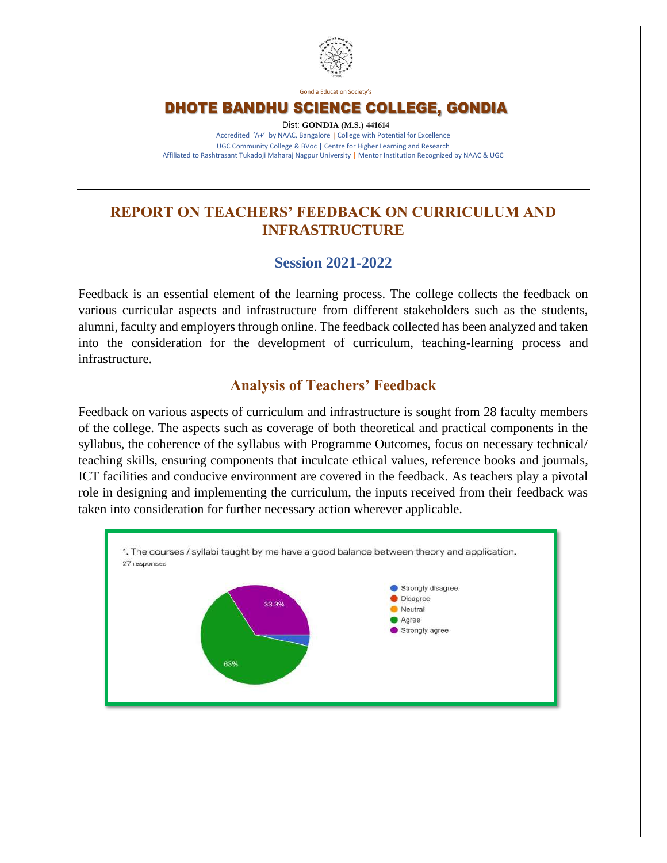

Gondia Education Society's

DHOTE BANDHU SCIENCE COLLEGE, GONDIA

Dist: **GONDIA (M.S.) 441614** Accredited 'A+' by NAAC, Bangalore | College with Potential for Excellence UGC Community College & BVoc **|** Centre for Higher Learning and Research Affiliated to Rashtrasant Tukadoji Maharaj Nagpur University **|** Mentor Institution Recognized by NAAC & UGC

## **REPORT ON TEACHERS' FEEDBACK ON CURRICULUM AND INFRASTRUCTURE**

### **Session 2021-2022**

Feedback is an essential element of the learning process. The college collects the feedback on various curricular aspects and infrastructure from different stakeholders such as the students, alumni, faculty and employers through online. The feedback collected has been analyzed and taken into the consideration for the development of curriculum, teaching-learning process and infrastructure.

## **Analysis of Teachers' Feedback**

Feedback on various aspects of curriculum and infrastructure is sought from 28 faculty members of the college. The aspects such as coverage of both theoretical and practical components in the syllabus, the coherence of the syllabus with Programme Outcomes, focus on necessary technical/ teaching skills, ensuring components that inculcate ethical values, reference books and journals, ICT facilities and conducive environment are covered in the feedback. As teachers play a pivotal role in designing and implementing the curriculum, the inputs received from their feedback was taken into consideration for further necessary action wherever applicable.

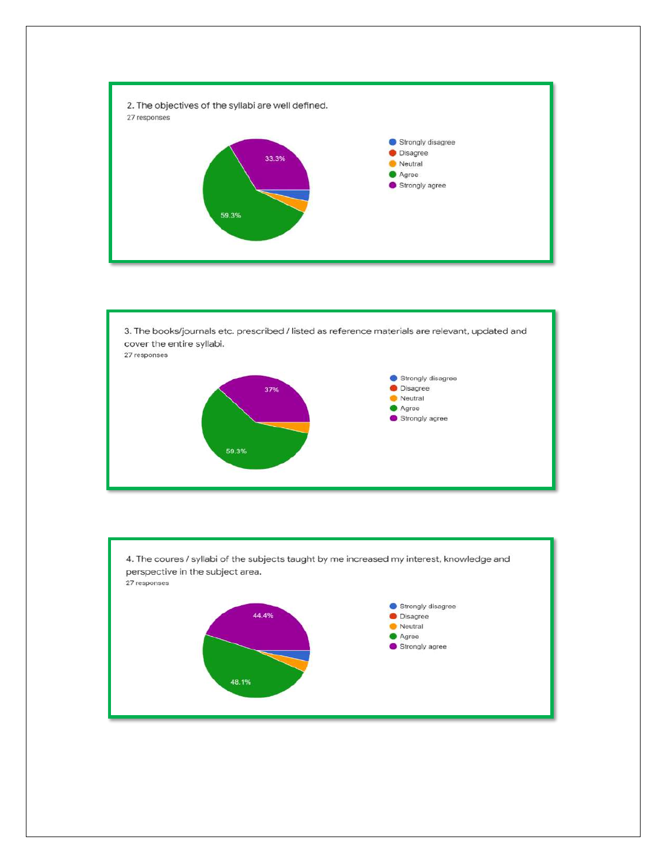



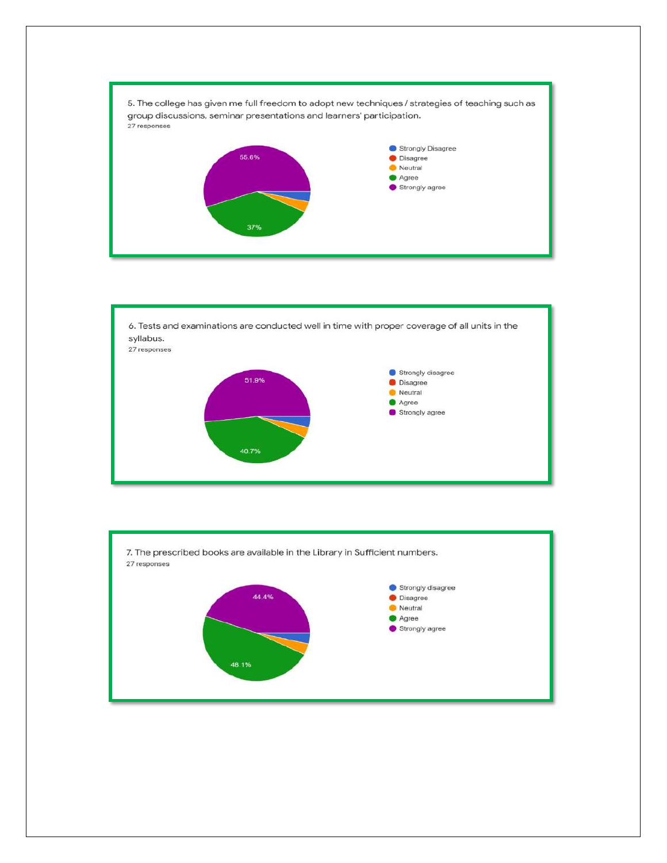



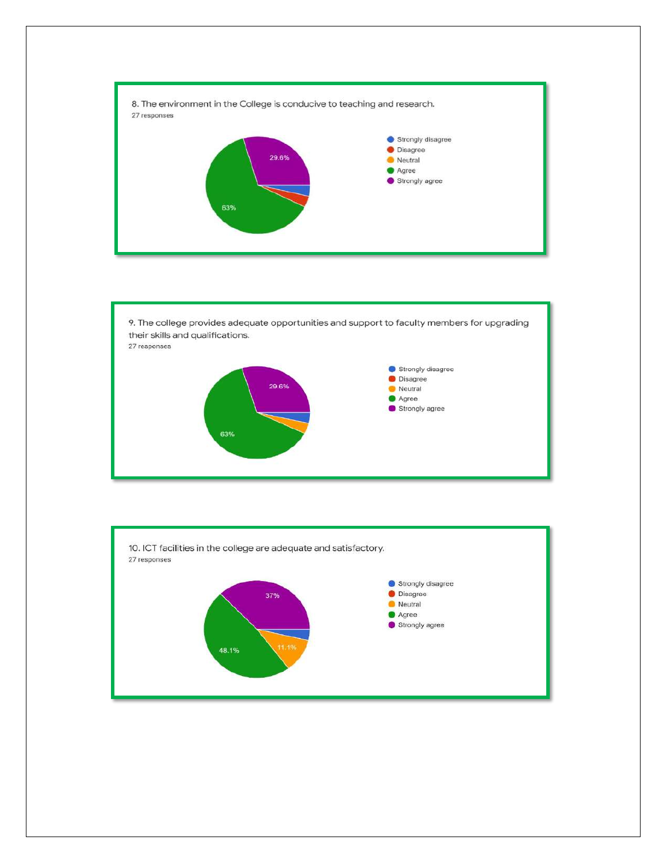



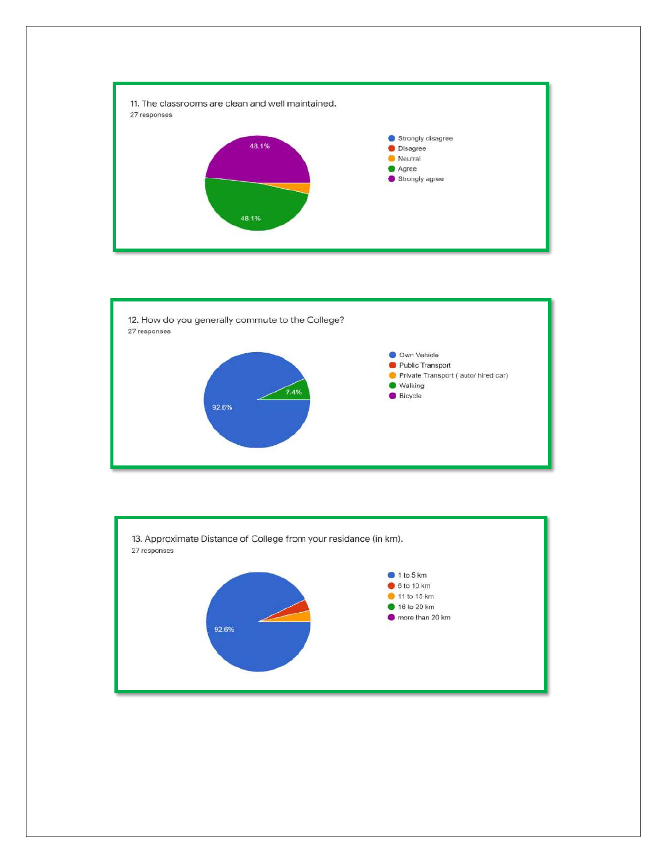



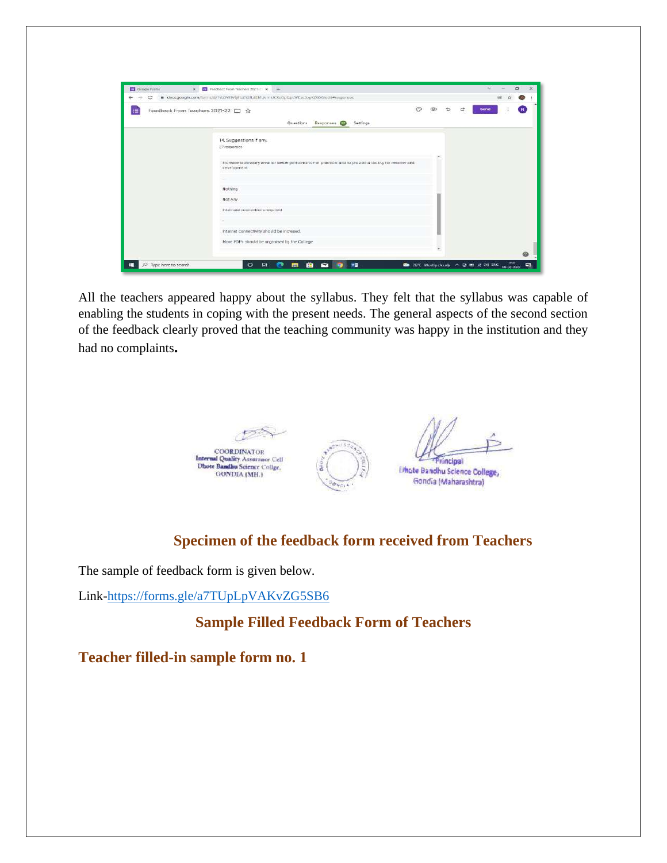| c | # docs.google.com/formc/d/Tks3VHVLjHzZY2fLdEMUomkJCRsOpQpLWEas5byKZG58/odit#responses                                 |   |  |      |  |
|---|-----------------------------------------------------------------------------------------------------------------------|---|--|------|--|
| 福 | Feedback From Teachers 2021-22 □ ☆                                                                                    | € |  | Send |  |
|   | Questions Responses CD Settings                                                                                       |   |  |      |  |
|   | 14. Suggestions if any.                                                                                               |   |  |      |  |
|   | 27 responses                                                                                                          |   |  |      |  |
|   | increase laboratory area for better performance of practical and to provide a facility for reacher and<br>development |   |  |      |  |
|   | $\sim$<br><b>STATIST</b>                                                                                              |   |  |      |  |
|   | Nothing<br>---                                                                                                        |   |  |      |  |
|   | Not Any<br>Internate connections required.                                                                            |   |  |      |  |
|   |                                                                                                                       |   |  |      |  |
|   | internet connectivity should be incresed.                                                                             |   |  |      |  |
|   | More FDPs should be organised by the College                                                                          |   |  |      |  |
|   |                                                                                                                       |   |  |      |  |

All the teachers appeared happy about the syllabus. They felt that the syllabus was capable of enabling the students in coping with the present needs. The general aspects of the second section of the feedback clearly proved that the teaching community was happy in the institution and they had no complaints**.**



## **Specimen of the feedback form received from Teachers**

The sample of feedback form is given below.

Link[-https://forms.gle/a7TUpLpVAKvZG5SB6](https://forms.gle/a7TUpLpVAKvZG5SB6)

**Sample Filled Feedback Form of Teachers**

**Teacher filled-in sample form no. 1**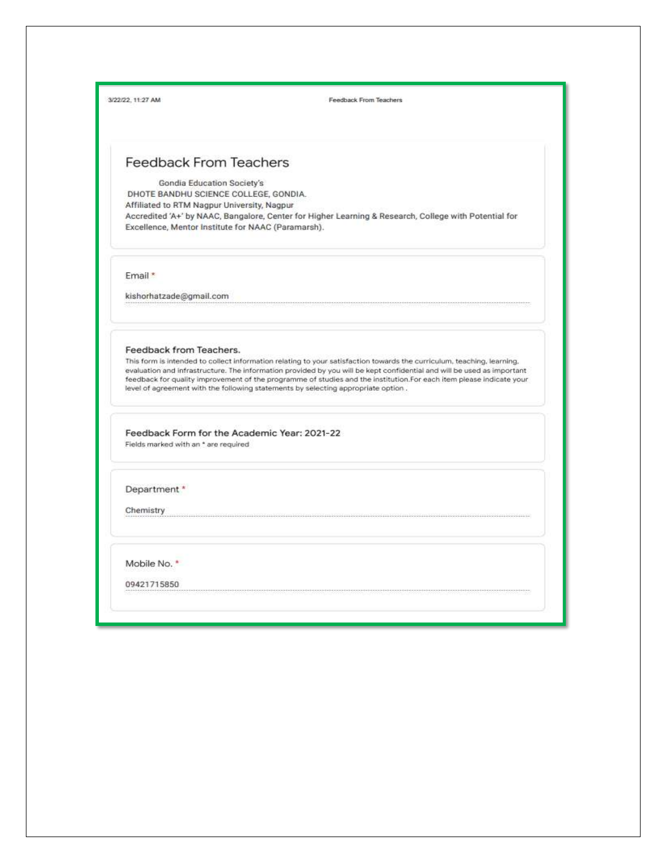| 3/22/22 11:27 AM |  |
|------------------|--|

Feedback From Teachers

### **Feedback From Teachers**

**Gondia Education Society's** DHOTE BANDHU SCIENCE COLLEGE, GONDIA. Affiliated to RTM Nagpur University, Nagpur Accredited 'A+' by NAAC, Bangalore, Center for Higher Learning & Research, College with Potential for Excellence, Mentor Institute for NAAC (Paramarsh).

Email\*

kishorhatzade@gmail.com

#### Feedback from Teachers.

This form is intended to collect information relating to your satisfaction towards the curriculum, teaching, learning, evaluation and infrastructure. The information provided by you will be kept confidential and will be used as important feedback for quality improvement of the programme of studies and the institution. For each item please indicate your level of agreement with the following statements by selecting appropriate option.

Feedback Form for the Academic Year: 2021-22 Fields marked with an \* are required

Department \*

Chemistry

Mobile No. \*

09421715850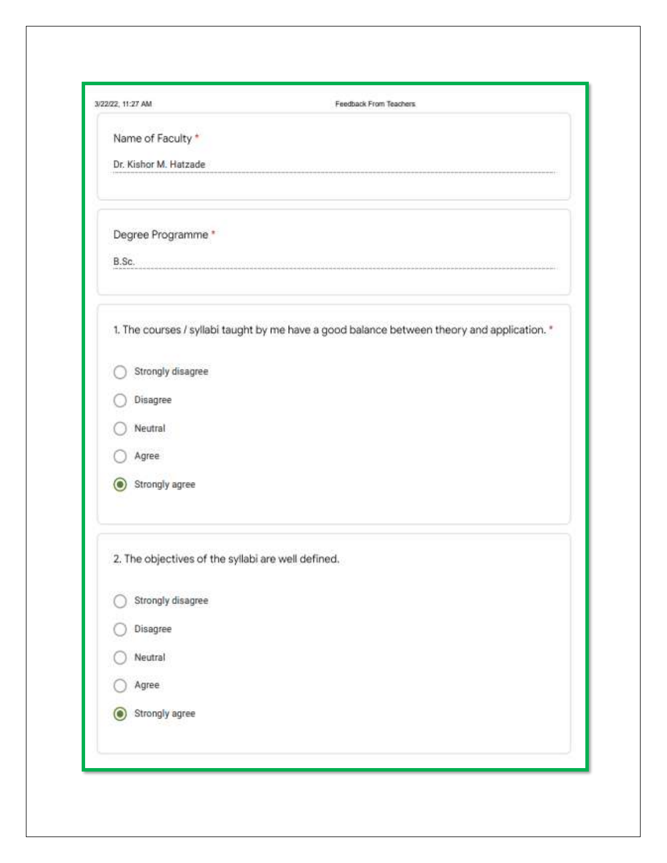| 3/22/22; 11:27 AM                                  | Feedback From Teachers                                                                      |
|----------------------------------------------------|---------------------------------------------------------------------------------------------|
| Name of Faculty *                                  |                                                                                             |
| Dr. Kishor M. Hatzade                              |                                                                                             |
| Degree Programme *                                 |                                                                                             |
| B.Sc.                                              |                                                                                             |
|                                                    | 1. The courses / syllabi taught by me have a good balance between theory and application. * |
| Strongly disagree                                  |                                                                                             |
| Disagree                                           |                                                                                             |
| Neutral                                            |                                                                                             |
| Agree                                              |                                                                                             |
| Strongly agree                                     |                                                                                             |
| 2. The objectives of the syllabi are well defined. |                                                                                             |
| Strongly disagree                                  |                                                                                             |
| Disagree                                           |                                                                                             |
| Neutral                                            |                                                                                             |
| Agree                                              |                                                                                             |
| Strongly agree<br>О                                |                                                                                             |
|                                                    |                                                                                             |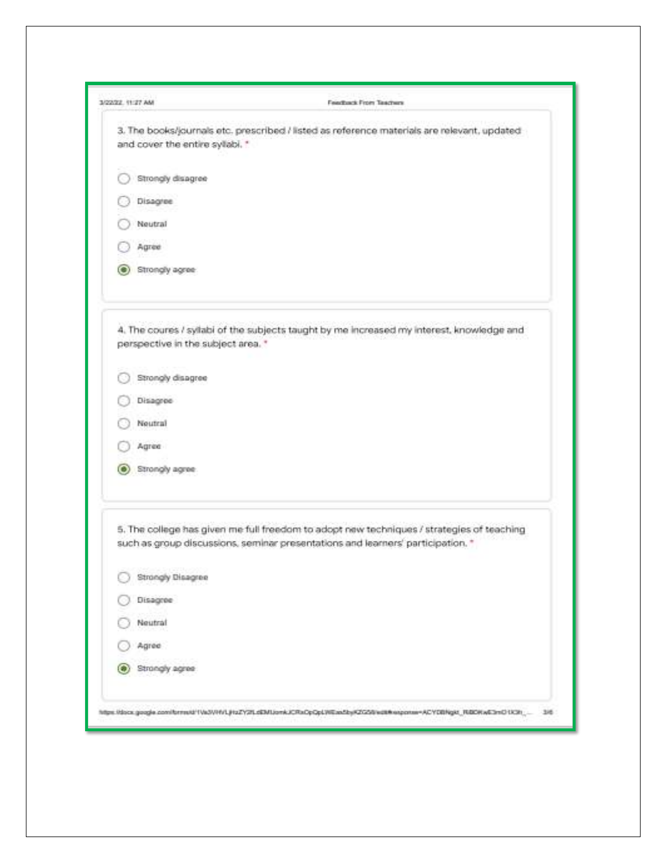| 3/22/22 11:27 AM                       | Feastback From Teachers                                                                                                                                                                                                                             |
|----------------------------------------|-----------------------------------------------------------------------------------------------------------------------------------------------------------------------------------------------------------------------------------------------------|
| and cover the entire syllabi. "        | 3. The books/lournals etc. prescribed / listed as reference materials are relevant, updated                                                                                                                                                         |
| Strongly disagree                      |                                                                                                                                                                                                                                                     |
| Disagree                               |                                                                                                                                                                                                                                                     |
| Neutral                                |                                                                                                                                                                                                                                                     |
| Agnee                                  |                                                                                                                                                                                                                                                     |
| Strongly agree<br>TУ.                  |                                                                                                                                                                                                                                                     |
| perspective in the subject area. *     | 4. The coures / syllabi of the subjects taught by me increased my interest, knowledge and                                                                                                                                                           |
| Strongly disagree                      |                                                                                                                                                                                                                                                     |
| Disagree                               |                                                                                                                                                                                                                                                     |
| Noutral                                |                                                                                                                                                                                                                                                     |
| Agree                                  |                                                                                                                                                                                                                                                     |
| Strongly agree<br>О                    |                                                                                                                                                                                                                                                     |
|                                        | 5. The college has given me full freedom to adopt new techniques / strategies of teaching<br>such as group discussions, seminar presentations and learners' participation. *                                                                        |
| <b>CONTRACTOR</b><br>Strongly Disagree |                                                                                                                                                                                                                                                     |
| Disagree                               |                                                                                                                                                                                                                                                     |
| Neutral                                |                                                                                                                                                                                                                                                     |
| Agree                                  |                                                                                                                                                                                                                                                     |
| Strongly agree                         |                                                                                                                                                                                                                                                     |
|                                        | nter ar matematica de la proposición de la contra de la grupa de la proposición de la contrada de la contrada<br>https://docx.google.com/forms/d1Va2V/HVLJHzZY2fLdEMLionkJCRxCpQpLWEas2byK2GZdi/edth/eapprain=ACYEBNgkf_RBCKwE2mD1X3h __<br>$-3.08$ |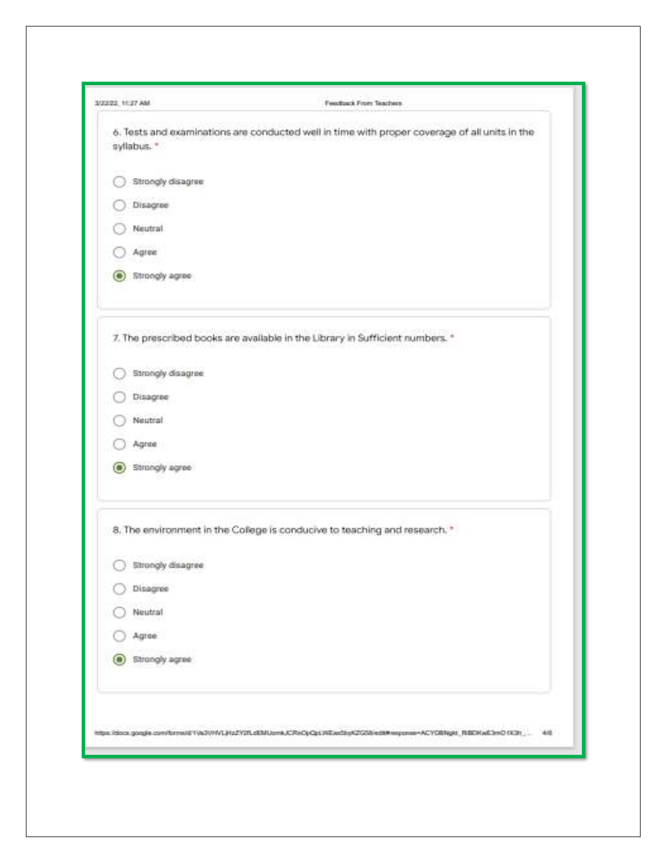| 3/22/22 11:27 AM    | Feathers' From Teachers'                                                                                                     |
|---------------------|------------------------------------------------------------------------------------------------------------------------------|
| syllabus."          | 6. Tests and examinations are conducted well in time with proper coverage of all units in the                                |
| Strongly disagree   |                                                                                                                              |
| Disagree            |                                                                                                                              |
| Neutral.            |                                                                                                                              |
| Agree               |                                                                                                                              |
| (@) Strongly agree: |                                                                                                                              |
|                     | 7. The prescribed books are available in the Library in Sufficient numbers.                                                  |
| Strongly disagree   |                                                                                                                              |
| Disagree-           |                                                                                                                              |
| Neutral             |                                                                                                                              |
| Agree               |                                                                                                                              |
| Strongly agree<br>m |                                                                                                                              |
|                     | 8. The environment in the College is conducive to teaching and research."                                                    |
| Strongly disagree   |                                                                                                                              |
| Disagree            |                                                                                                                              |
| Neutral             |                                                                                                                              |
| Agree.              |                                                                                                                              |
| Strongly agree<br>О |                                                                                                                              |
|                     | - Martin Martin Alexandria (Martin) - University and Alexandria Martin Martin Alexandria                                     |
|                     | https://docs.google.com/ternst01VeD/MVLJHz2Y2fLdDMUumkJCRxCpCpLWEaeSbyK2K2S8/edt#xspcnax=ACYOBNgkt_RBEMwE3mD1K3h___<br>14.00 |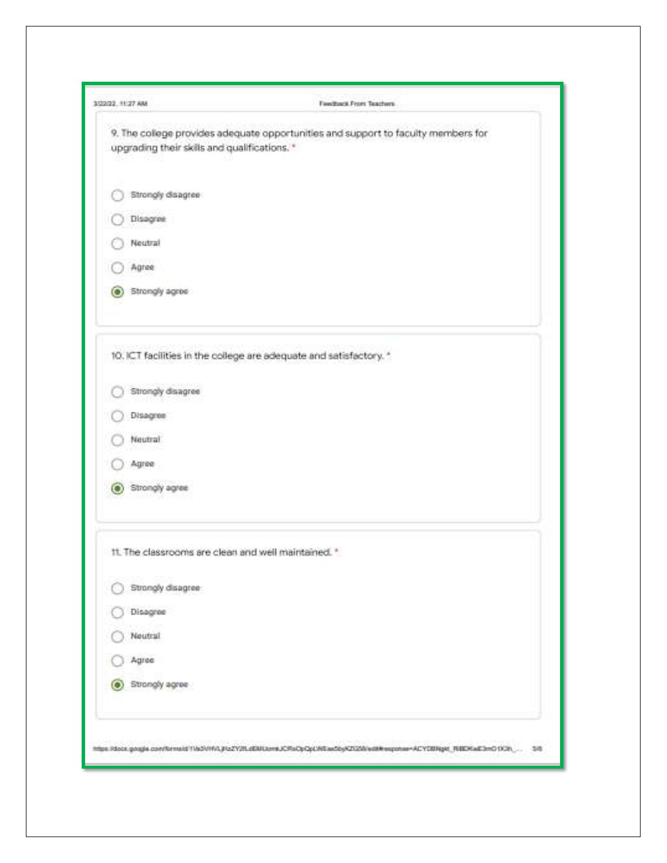| 3/22/22 11:27 AM                                    | Freedback Front Teachers                                                                                                      |
|-----------------------------------------------------|-------------------------------------------------------------------------------------------------------------------------------|
| upgrading their skills and qualifications."         | 9. The college provides adequate opportunities and support to faculty members for                                             |
| Strongly disagree:                                  |                                                                                                                               |
| Disagrae                                            |                                                                                                                               |
| Neutral                                             |                                                                                                                               |
| Agree                                               |                                                                                                                               |
| (a) Strongly agree                                  |                                                                                                                               |
|                                                     | 10. ICT facilities in the college are adequate and satisfactory. *                                                            |
| Strongly disagree<br>333 F F<br>--                  |                                                                                                                               |
| :Disagree                                           |                                                                                                                               |
| Neutral:                                            |                                                                                                                               |
| Agree                                               |                                                                                                                               |
| (a) Strongly agree                                  |                                                                                                                               |
| 11. The classrooms are clean and well maintained. * |                                                                                                                               |
| Strongly disagree                                   |                                                                                                                               |
| Disagree                                            |                                                                                                                               |
| Noutral                                             |                                                                                                                               |
| Agree                                               |                                                                                                                               |
| Strongly agree                                      |                                                                                                                               |
|                                                     | https://docx.google.com/forms/d/1Vo3VHVLjHzZY21LdEMLton#JCRxOpQpLWEas5byKZGSfrydBRwsponax=ACYE8Blgst_REEDKwE3mG1K3h_<br>- 188 |
|                                                     |                                                                                                                               |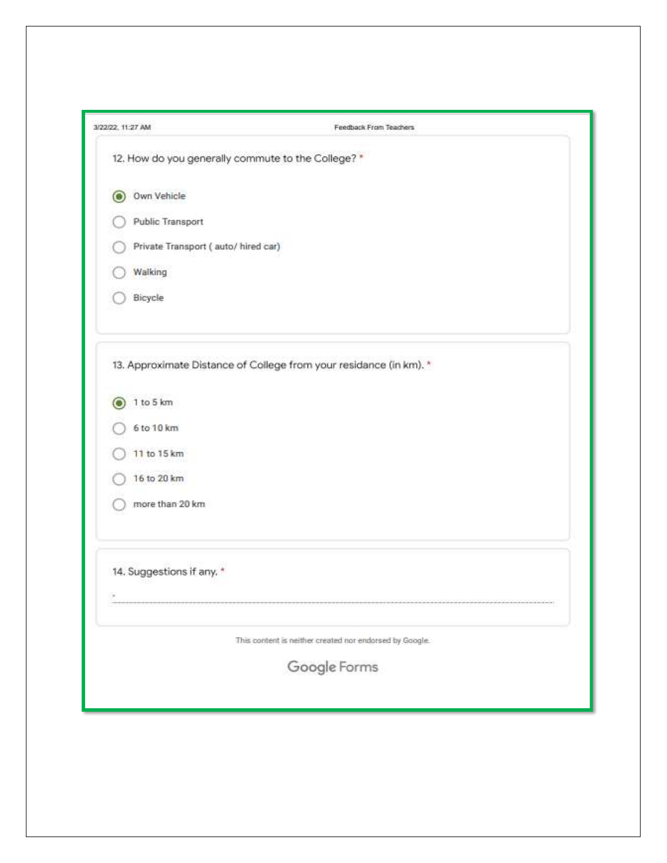| 3/22/22, 11:27 AM                                 | Feedback From Teachers                                             |
|---------------------------------------------------|--------------------------------------------------------------------|
| 12. How do you generally commute to the College?* |                                                                    |
| Own Vehicle<br>Ω                                  |                                                                    |
| Public Transport                                  |                                                                    |
| Private Transport (auto/hired car)                |                                                                    |
| Walking                                           |                                                                    |
| Bicycle                                           |                                                                    |
|                                                   | 13. Approximate Distance of College from your residance (in km). * |
| 1 to 5 km                                         |                                                                    |
| 6 to 10 km                                        |                                                                    |
| 11 to 15 km                                       |                                                                    |
| 16 to 20 km                                       |                                                                    |
| more than 20 km                                   |                                                                    |
| 14. Suggestions if any. *                         |                                                                    |
|                                                   |                                                                    |
|                                                   | This content is neither created nor endorsed by Google.            |
|                                                   | Google Forms                                                       |
|                                                   |                                                                    |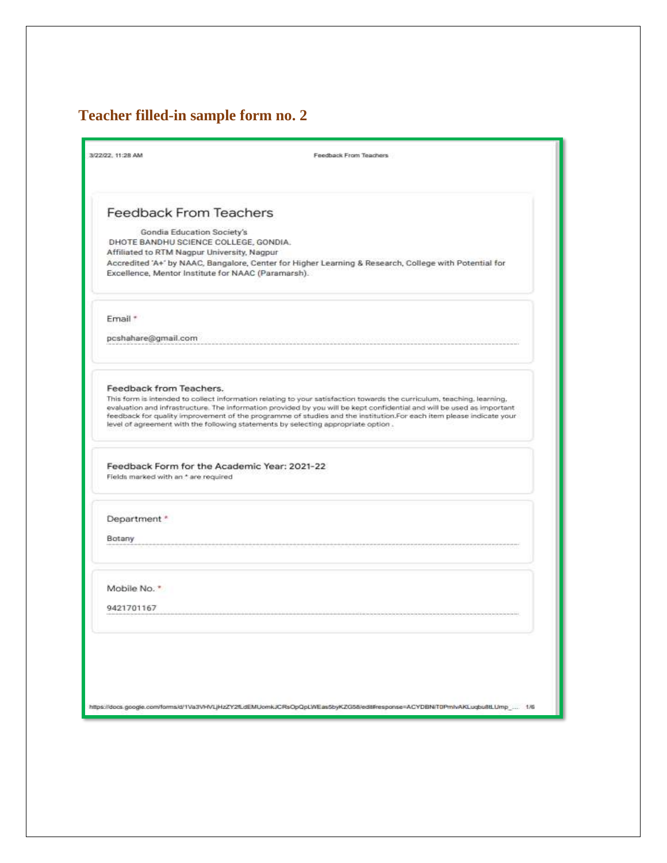## **Teacher filled-in sample form no. 2**

|                                      | Feedback From Teachers                                                                                                                                                                                                                                                                                                                                                                                                                                       |
|--------------------------------------|--------------------------------------------------------------------------------------------------------------------------------------------------------------------------------------------------------------------------------------------------------------------------------------------------------------------------------------------------------------------------------------------------------------------------------------------------------------|
| <b>Feedback From Teachers</b>        |                                                                                                                                                                                                                                                                                                                                                                                                                                                              |
|                                      | Gondia Education Society's<br>DHOTE BANDHU SCIENCE COLLEGE, GONDIA.                                                                                                                                                                                                                                                                                                                                                                                          |
|                                      | Affiliated to RTM Nagpur University, Nagpur<br>Accredited 'A+' by NAAC, Bangalore, Center for Higher Learning & Research, College with Potential for<br>Excellence, Mentor Institute for NAAC (Paramarsh).                                                                                                                                                                                                                                                   |
| Email *                              |                                                                                                                                                                                                                                                                                                                                                                                                                                                              |
| pcshahare@gmail.com                  |                                                                                                                                                                                                                                                                                                                                                                                                                                                              |
| Feedback from Teachers.              |                                                                                                                                                                                                                                                                                                                                                                                                                                                              |
|                                      | This form is intended to collect information relating to your satisfaction towards the curriculum, teaching, learning,<br>evaluation and infrastructure. The information provided by you will be kept confidential and will be used as important<br>feedback for quality improvement of the programme of studies and the institution.For each item please indicate your<br>level of agreement with the following statements by selecting appropriate option. |
| Fields marked with an * are required | Feedback Form for the Academic Year: 2021-22                                                                                                                                                                                                                                                                                                                                                                                                                 |
| Department*                          |                                                                                                                                                                                                                                                                                                                                                                                                                                                              |
| Botany                               |                                                                                                                                                                                                                                                                                                                                                                                                                                                              |
|                                      |                                                                                                                                                                                                                                                                                                                                                                                                                                                              |
| Mobile No."                          |                                                                                                                                                                                                                                                                                                                                                                                                                                                              |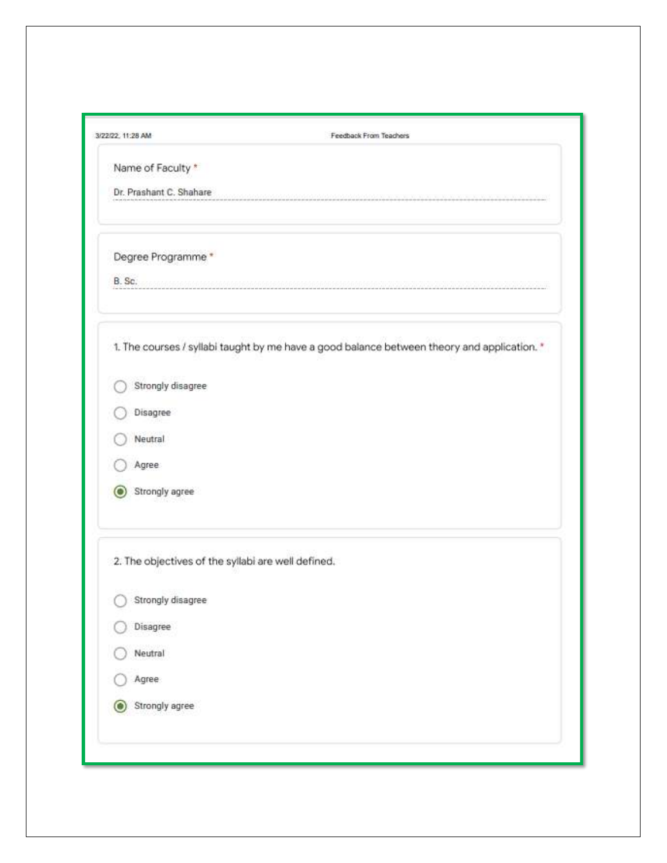| 3/22/22, 11:28 AM       | Feedback From Teachers                                                                      |
|-------------------------|---------------------------------------------------------------------------------------------|
| Name of Faculty *       |                                                                                             |
| Dr. Prashant C. Shahare |                                                                                             |
| Degree Programme*       |                                                                                             |
| B. Sc.                  |                                                                                             |
|                         | 1. The courses / syllabi taught by me have a good balance between theory and application. * |
| Strongly disagree       |                                                                                             |
| Disagree                |                                                                                             |
| Neutral                 |                                                                                             |
| Agree                   |                                                                                             |
| Strongly agree          |                                                                                             |
|                         | 2. The objectives of the syllabi are well defined.                                          |
| Strongly disagree       |                                                                                             |
| Disagree                |                                                                                             |
| Neutral                 |                                                                                             |
| Agree                   |                                                                                             |
| Strongly agree<br>Ю     |                                                                                             |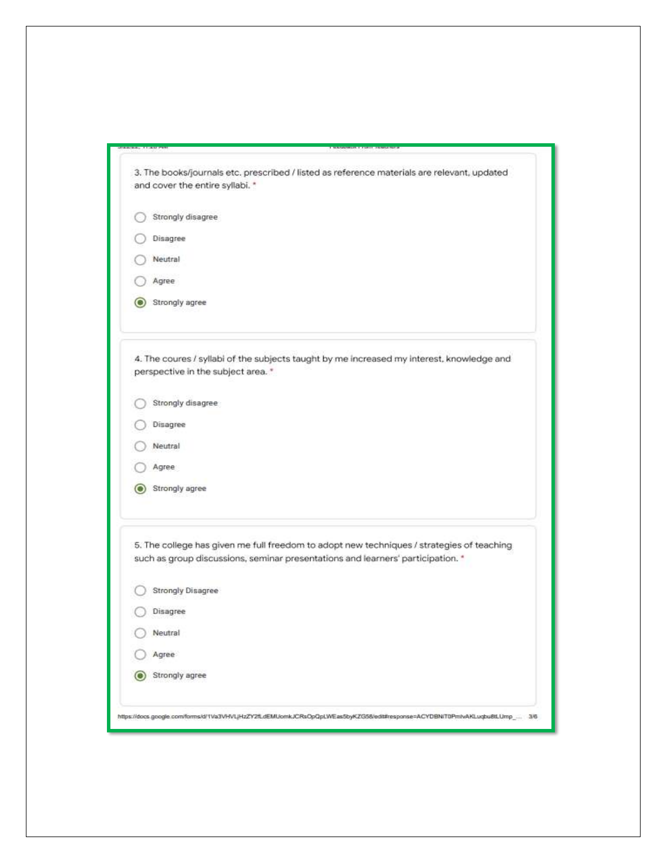| 3. The books/journals etc. prescribed / listed as reference materials are relevant, updated                                                                                  |
|------------------------------------------------------------------------------------------------------------------------------------------------------------------------------|
| and cover the entire syllabi. *                                                                                                                                              |
| Strongly disagree                                                                                                                                                            |
| Disagree                                                                                                                                                                     |
| Neutral                                                                                                                                                                      |
| Agree                                                                                                                                                                        |
| Strongly agree                                                                                                                                                               |
| 4. The coures / syllabi of the subjects taught by me increased my interest, knowledge and<br>perspective in the subject area. *                                              |
| Strongly disagree                                                                                                                                                            |
| Disagree                                                                                                                                                                     |
| Neutral                                                                                                                                                                      |
| Agree                                                                                                                                                                        |
| Strongly agree                                                                                                                                                               |
| 5. The college has given me full freedom to adopt new techniques / strategies of teaching<br>such as group discussions, seminar presentations and learners' participation. * |
| <b>Strongly Disagree</b>                                                                                                                                                     |
| Disagree                                                                                                                                                                     |
| Neutral                                                                                                                                                                      |
| Agree                                                                                                                                                                        |
| Strongly agree                                                                                                                                                               |
| https://docs.google.com/forms/d/1Va3VHVLJHzZY2fLdEMUomkJCRsOpQpLWEas5byKZG58/edit#response=ACYDBNiT0PmlvAKLuqbu8tLUmp_ 3/6                                                   |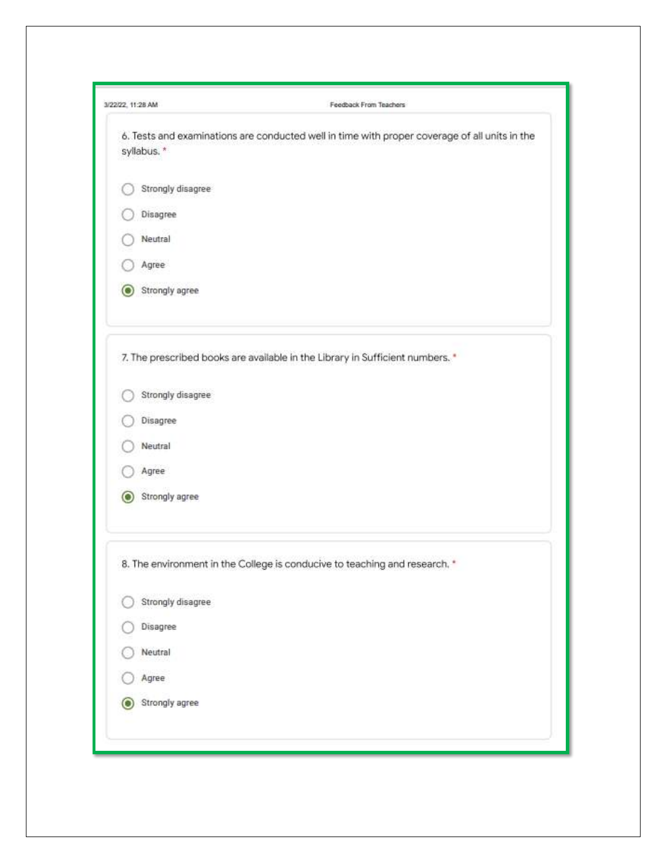| syllabus. *         | 6. Tests and examinations are conducted well in time with proper coverage of all units in the |
|---------------------|-----------------------------------------------------------------------------------------------|
|                     |                                                                                               |
| Strongly disagree   |                                                                                               |
| Disagree            |                                                                                               |
| Neutral             |                                                                                               |
| Agree               |                                                                                               |
| Strongly agree      |                                                                                               |
|                     | 7. The prescribed books are available in the Library in Sufficient numbers. *                 |
| Strongly disagree   |                                                                                               |
| Disagree            |                                                                                               |
| Neutral             |                                                                                               |
| Agree               |                                                                                               |
| Strongly agree      |                                                                                               |
|                     | 8. The environment in the College is conducive to teaching and research. *                    |
| Strongly disagree   |                                                                                               |
| Disagree            |                                                                                               |
| Neutral             |                                                                                               |
| Agree               |                                                                                               |
| Strongly agree<br>с |                                                                                               |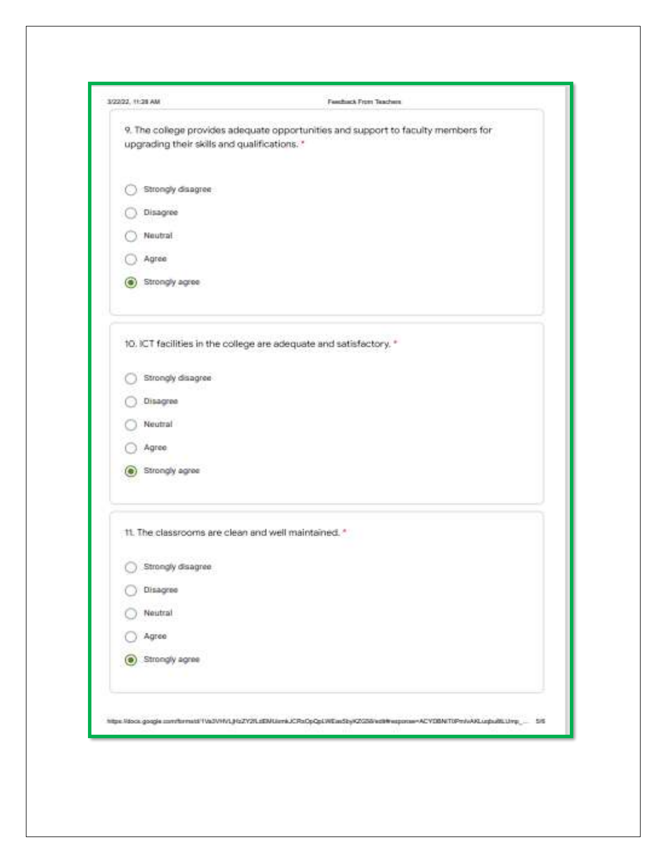| 3/22/22 11:28 AM                                    | FamiliarA From Teachers                                                                                            |
|-----------------------------------------------------|--------------------------------------------------------------------------------------------------------------------|
| upgrading their skills and qualifications."         | 9. The college provides adequate opportunities and support to faculty members for                                  |
| Strongly disagree                                   |                                                                                                                    |
| Disagree                                            |                                                                                                                    |
| Neutral                                             |                                                                                                                    |
| Agree                                               |                                                                                                                    |
| Strongly agree<br>m                                 |                                                                                                                    |
|                                                     | 10. ICT facilities in the college are adequate and satisfactory. *                                                 |
| Strongly disagree                                   |                                                                                                                    |
| Disagree                                            |                                                                                                                    |
| Neutral                                             |                                                                                                                    |
| Agree.                                              |                                                                                                                    |
| (e) Strongly agree                                  |                                                                                                                    |
| 11. The classrooms are clean and well maintained. 1 |                                                                                                                    |
| Strongly disagree                                   |                                                                                                                    |
| Disagree                                            |                                                                                                                    |
| Neutral                                             |                                                                                                                    |
| Agree                                               |                                                                                                                    |
| Strongly agree<br>Ю                                 |                                                                                                                    |
|                                                     | https://docs.google.com/thrmshf/VaDVHVLJHzZV2RzEMUsrrkJCPoOpQpLWEssStyK2X2SFezt#weponswACVDBWT1Pm/wAALups28LUmp___ |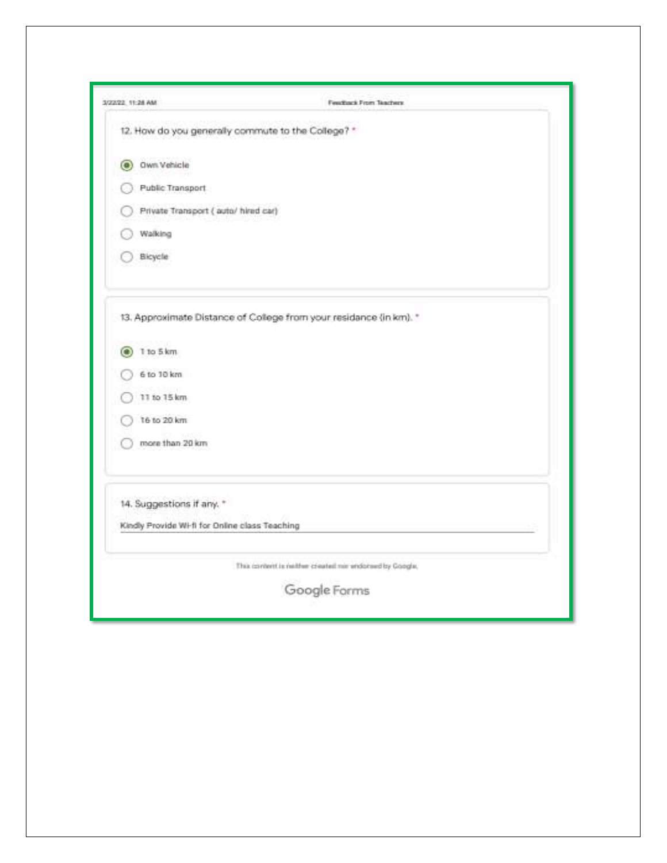| 3/2/2/20 11:28 AM                                  | <b>Pearltown Prom Teachers</b>                                     |  |
|----------------------------------------------------|--------------------------------------------------------------------|--|
| 12. How do you generally commute to the College? * |                                                                    |  |
| Own Vehicle<br>O                                   |                                                                    |  |
| Public Transport                                   |                                                                    |  |
| Private Transport ( auto/ hired car)               |                                                                    |  |
| Walking                                            |                                                                    |  |
| Bicycle                                            |                                                                    |  |
|                                                    | 13. Approximate Distance of College from your residence (in km). * |  |
| 1 to 5 km<br>O.                                    |                                                                    |  |
| 6 to 10 km                                         |                                                                    |  |
| 11 to 15 km                                        |                                                                    |  |
| 16 to 20 km                                        |                                                                    |  |
| more than 20 km                                    |                                                                    |  |
| 14. Suggestions if any. *                          |                                                                    |  |
| Kindly Provide Wi-fi for Online class Teaching     |                                                                    |  |
|                                                    | This content is nather created nor endorsed by Coogle,             |  |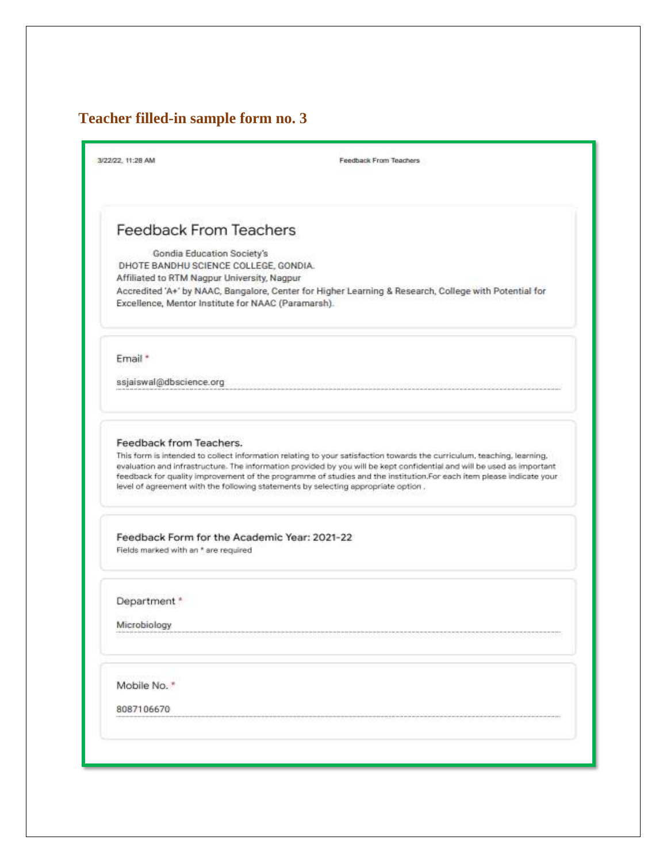# **Teacher filled-in sample form no. 3**

| 3/22/22, 11:28 AM                                                   | Feedback From Teachers                                                                                                                                                                                                                                                                                                                                                                                                                                       |
|---------------------------------------------------------------------|--------------------------------------------------------------------------------------------------------------------------------------------------------------------------------------------------------------------------------------------------------------------------------------------------------------------------------------------------------------------------------------------------------------------------------------------------------------|
| <b>Feedback From Teachers</b>                                       |                                                                                                                                                                                                                                                                                                                                                                                                                                                              |
|                                                                     |                                                                                                                                                                                                                                                                                                                                                                                                                                                              |
| Gondia Education Society's<br>DHOTE BANDHU SCIENCE COLLEGE, GONDIA. |                                                                                                                                                                                                                                                                                                                                                                                                                                                              |
| Affiliated to RTM Nagpur University, Nagpur                         |                                                                                                                                                                                                                                                                                                                                                                                                                                                              |
| Excellence, Mentor Institute for NAAC (Paramarsh).                  | Accredited 'A+' by NAAC, Bangalore, Center for Higher Learning & Research, College with Potential for                                                                                                                                                                                                                                                                                                                                                        |
| Email *                                                             |                                                                                                                                                                                                                                                                                                                                                                                                                                                              |
| ssjaiswal@dbscience.org                                             |                                                                                                                                                                                                                                                                                                                                                                                                                                                              |
| Feedback from Teachers.                                             | This form is intended to collect information relating to your satisfaction towards the curriculum, teaching, learning,<br>evaluation and infrastructure. The information provided by you will be kept confidential and will be used as important<br>feedback for quality improvement of the programme of studies and the institution.For each item please indicate your<br>level of agreement with the following statements by selecting appropriate option. |
| Feedback Form for the Academic Year: 2021-22                        |                                                                                                                                                                                                                                                                                                                                                                                                                                                              |
| Fields marked with an * are required                                |                                                                                                                                                                                                                                                                                                                                                                                                                                                              |
| Department *                                                        |                                                                                                                                                                                                                                                                                                                                                                                                                                                              |
| Microbiology                                                        |                                                                                                                                                                                                                                                                                                                                                                                                                                                              |
| Mobile No."                                                         |                                                                                                                                                                                                                                                                                                                                                                                                                                                              |
| 8087106670                                                          |                                                                                                                                                                                                                                                                                                                                                                                                                                                              |
|                                                                     |                                                                                                                                                                                                                                                                                                                                                                                                                                                              |
|                                                                     |                                                                                                                                                                                                                                                                                                                                                                                                                                                              |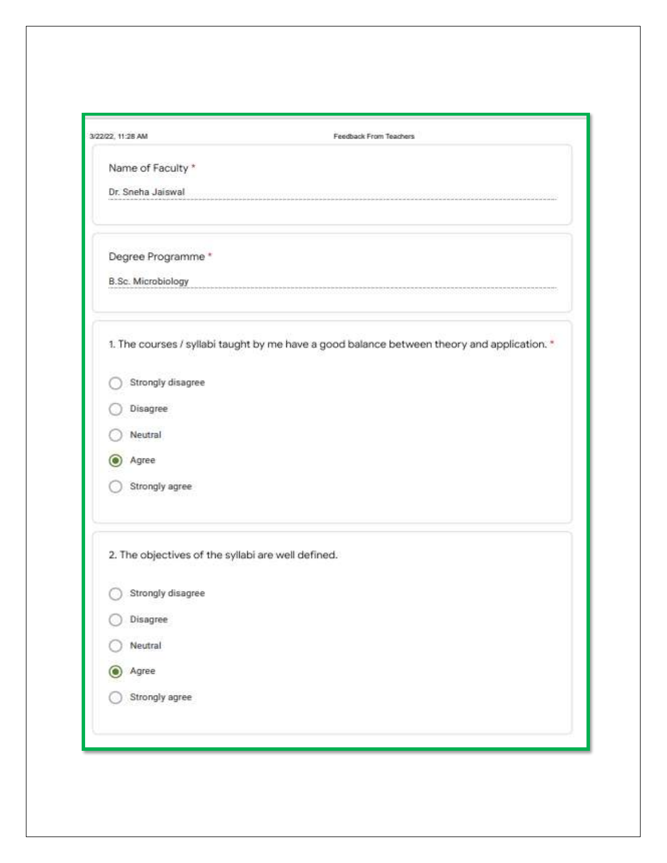| 3/22/22, 11:28 AM                                  | Feedback From Teachers                                                                      |
|----------------------------------------------------|---------------------------------------------------------------------------------------------|
| Name of Faculty *                                  |                                                                                             |
| Dr. Sneha Jaiswal                                  |                                                                                             |
| Degree Programme *                                 |                                                                                             |
| <b>B.Sc. Microbiology</b>                          |                                                                                             |
|                                                    | 1. The courses / syllabi taught by me have a good balance between theory and application. * |
| Strongly disagree                                  |                                                                                             |
| Disagree                                           |                                                                                             |
| Neutral                                            |                                                                                             |
| Agree                                              |                                                                                             |
| Strongly agree                                     |                                                                                             |
| 2. The objectives of the syllabi are well defined. |                                                                                             |
| Strongly disagree                                  |                                                                                             |
| Disagree                                           |                                                                                             |
| Neutral                                            |                                                                                             |
| Agree<br>О                                         |                                                                                             |
| Strongly agree                                     |                                                                                             |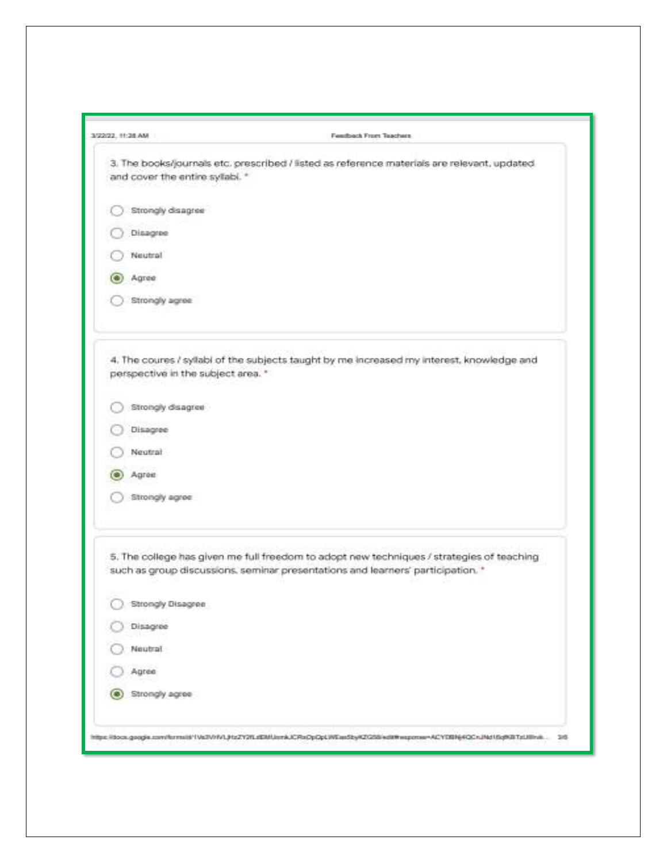| 3/22/22 11:28:558                  | Femiliach From Teachers                                                                                                                                                      |
|------------------------------------|------------------------------------------------------------------------------------------------------------------------------------------------------------------------------|
| and cover the entire sylabi. *     | 3. The books/journals etc. prescribed / listed as reference materials are relevent, updated                                                                                  |
| Strongly disagree                  |                                                                                                                                                                              |
| Disagree                           |                                                                                                                                                                              |
| Neutral                            |                                                                                                                                                                              |
| $\bullet$<br>Agree                 |                                                                                                                                                                              |
| Strongly agree                     |                                                                                                                                                                              |
| perspective in the subject area. * | 4. The coures / syllabi of the subjects taught by me increased my interest, knowledge and                                                                                    |
| Strongly disagree                  |                                                                                                                                                                              |
| Disagree                           |                                                                                                                                                                              |
| Nextral                            |                                                                                                                                                                              |
| Agree<br>œ                         |                                                                                                                                                                              |
| Strongly agree                     |                                                                                                                                                                              |
|                                    | 5. The college has given me full freedom to adopt new techniques / strategies of teaching<br>such as group discussions, seminar presentations and learners' participation. * |
| Strongly Disagree                  |                                                                                                                                                                              |
| Disagree                           |                                                                                                                                                                              |
| Neutral                            |                                                                                                                                                                              |
| Agree                              |                                                                                                                                                                              |
| Strongly agree<br>О                |                                                                                                                                                                              |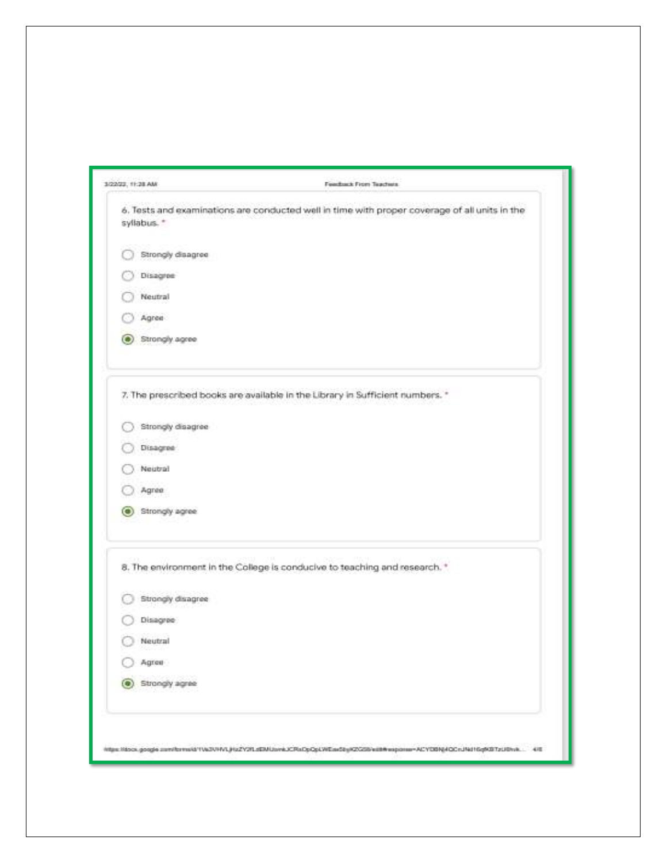| 1/22/22, 11:28 AM   | Feedback From Teachers                                                                                                    |
|---------------------|---------------------------------------------------------------------------------------------------------------------------|
| syllabus. *         | 6. Tests and examinations are conducted well in time with proper coverage of all units in the                             |
| Strongly disagree   |                                                                                                                           |
| Disagree            |                                                                                                                           |
| Neutral             |                                                                                                                           |
| Agree               |                                                                                                                           |
| Strongly agree<br>с |                                                                                                                           |
|                     | 7. The prescribed books are available in the Library in Sufficient numbers. *                                             |
| Strongly disagree   |                                                                                                                           |
| Disagree            |                                                                                                                           |
| Neutral             |                                                                                                                           |
| Agree               |                                                                                                                           |
| Strongly agree<br>О |                                                                                                                           |
|                     | 8. The environment in the College is conducive to teaching and research. *                                                |
| Strongly disagree   |                                                                                                                           |
| Disagree            |                                                                                                                           |
| Neutral             |                                                                                                                           |
| Agree               |                                                                                                                           |
| Strongly agree      |                                                                                                                           |
|                     |                                                                                                                           |
|                     | https://docs.google.com/forms/d/1Vk3VHVLjHzZY2fLdEMUsmk3CPlsDpGpLWEas5byR2GSS/edth/esponse=ACYDBNj4GCnJNd16qMBTzUBnvk 4/E |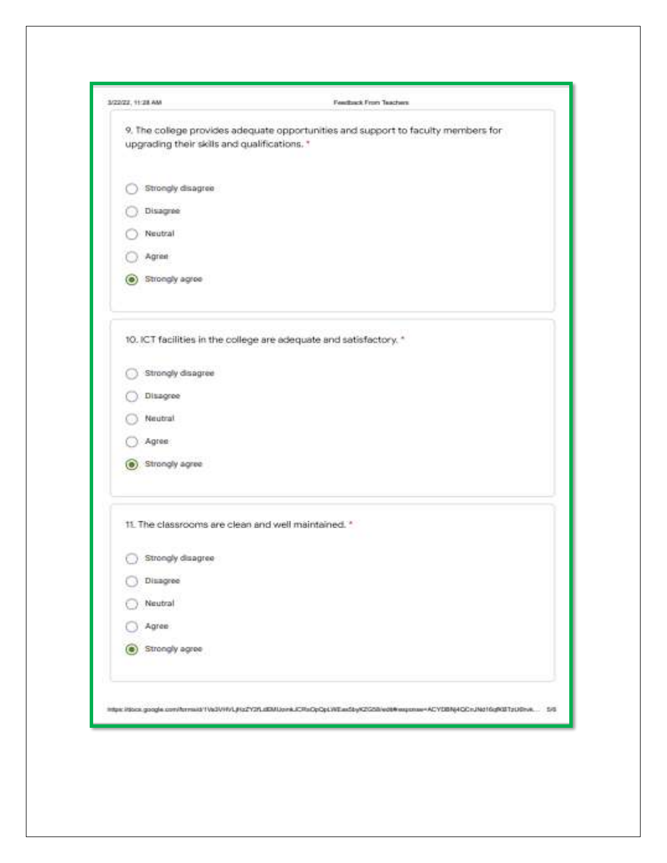| 3/22/22 11:28 AM                                    | Feedback From Teachers                                                                                                         |
|-----------------------------------------------------|--------------------------------------------------------------------------------------------------------------------------------|
| upgrading their skills and qualifications. *        | 9. The college provides adequate opportunities and support to faculty members for                                              |
| Strongly disagree                                   |                                                                                                                                |
| Disagree                                            |                                                                                                                                |
| Neutral                                             |                                                                                                                                |
| Agree                                               |                                                                                                                                |
| Strongly agree<br>O.                                |                                                                                                                                |
|                                                     | 10. ICT facilities in the college are adequate and satisfactory. *                                                             |
| Strongly disagree                                   |                                                                                                                                |
| Disagree                                            |                                                                                                                                |
| Neutral                                             |                                                                                                                                |
| Agree:                                              |                                                                                                                                |
| Strongly agree                                      |                                                                                                                                |
| 11. The classrooms are clean and well maintained. * |                                                                                                                                |
| 16.50<br>Strongly disagree                          |                                                                                                                                |
| Disagree                                            |                                                                                                                                |
| Neutral                                             |                                                                                                                                |
| Agree                                               |                                                                                                                                |
| Strongly agree                                      |                                                                                                                                |
|                                                     | https://docs.google.com/htmsid/1/a01/HVL#to2Y2fLdDMJosrkJCRsDpDpLWEas5byK2GSB/edt#exposse=ACYDBNj4GDnJNd16q9087zU0nvk<br>$-58$ |
|                                                     |                                                                                                                                |